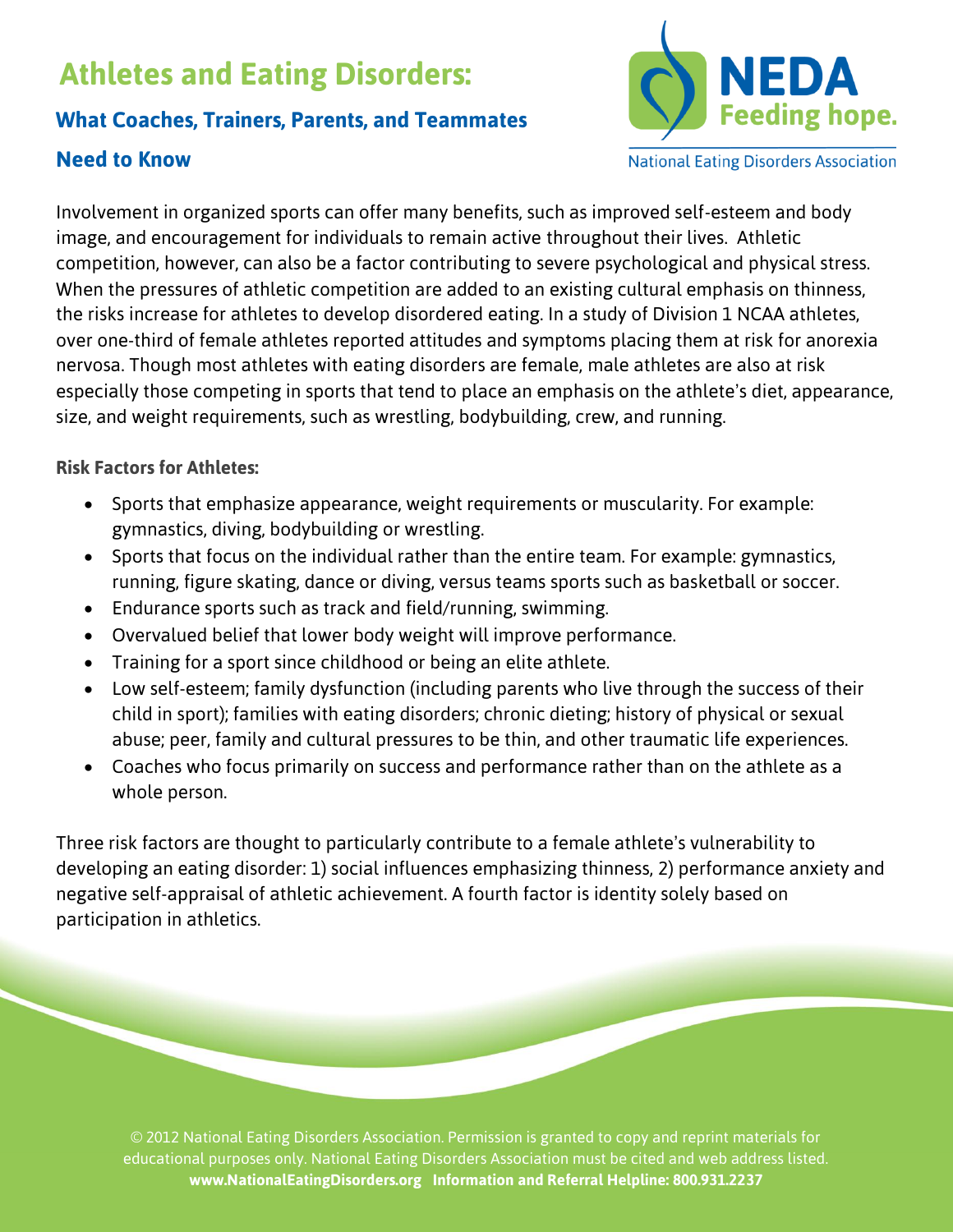# **Athletes and Eating Disorders:**

## **What Coaches, Trainers, Parents, and Teammates**

## **Need to Know**



**National Eating Disorders Association** 

Involvement in organized sports can offer many benefits, such as improved self-esteem and body image, and encouragement for individuals to remain active throughout their lives. Athletic competition, however, can also be a factor contributing to severe psychological and physical stress. When the pressures of athletic competition are added to an existing cultural emphasis on thinness, the risks increase for athletes to develop disordered eating. In a study of Division 1 NCAA athletes, over one-third of female athletes reported attitudes and symptoms placing them at risk for anorexia nervosa. Though most athletes with eating disorders are female, male athletes are also at risk especially those competing in sports that tend to place an emphasis on the athlete's diet, appearance, size, and weight requirements, such as wrestling, bodybuilding, crew, and running.

#### **Risk Factors for Athletes:**

- Sports that emphasize appearance, weight requirements or muscularity. For example: gymnastics, diving, bodybuilding or wrestling.
- Sports that focus on the individual rather than the entire team. For example: gymnastics, running, figure skating, dance or diving, versus teams sports such as basketball or soccer.
- Endurance sports such as track and field/running, swimming.
- Overvalued belief that lower body weight will improve performance.
- Training for a sport since childhood or being an elite athlete.
- Low self-esteem; family dysfunction (including parents who live through the success of their child in sport); families with eating disorders; chronic dieting; history of physical or sexual abuse; peer, family and cultural pressures to be thin, and other traumatic life experiences.
- Coaches who focus primarily on success and performance rather than on the athlete as a whole person.

Three risk factors are thought to particularly contribute to a female athlete's vulnerability to developing an eating disorder: 1) social influences emphasizing thinness, 2) performance anxiety and negative self-appraisal of athletic achievement. A fourth factor is identity solely based on participation in athletics.

© 2012 National Eating Disorders Association. Permission is granted to copy and reprint materials for educational purposes only. National Eating Disorders Association must be cited and web address listed. **www.NationalEatingDisorders.org Information and Referral Helpline: 800.931.2237**